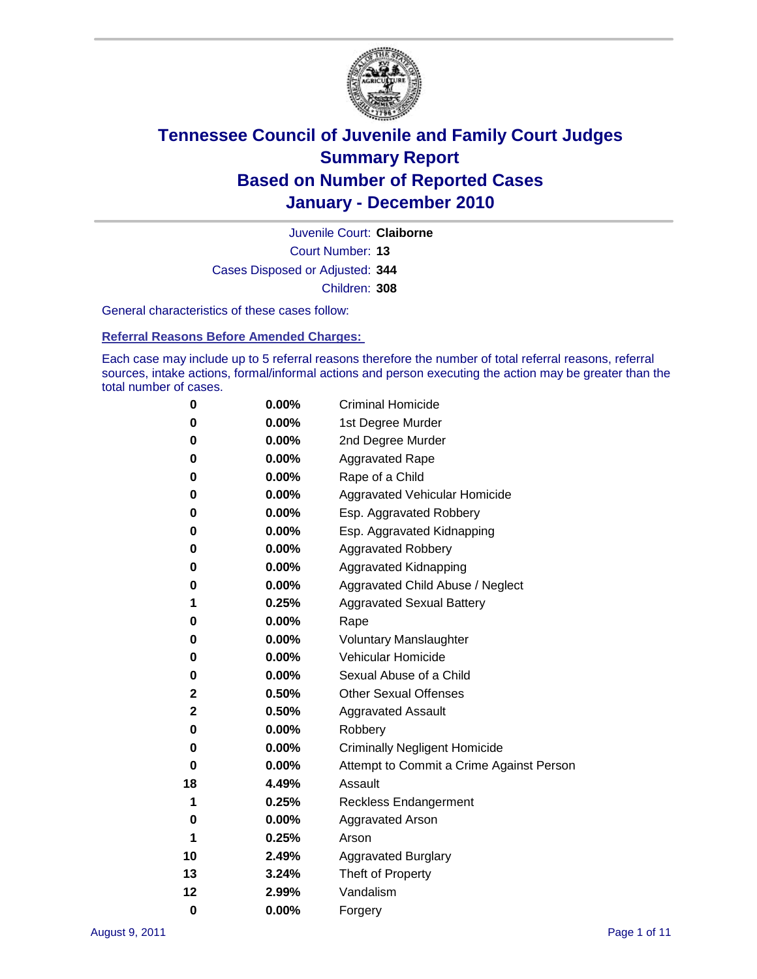

Court Number: **13** Juvenile Court: **Claiborne** Cases Disposed or Adjusted: **344** Children: **308**

General characteristics of these cases follow:

**Referral Reasons Before Amended Charges:** 

Each case may include up to 5 referral reasons therefore the number of total referral reasons, referral sources, intake actions, formal/informal actions and person executing the action may be greater than the total number of cases.

| 0  | 0.00%    | <b>Criminal Homicide</b>                 |
|----|----------|------------------------------------------|
| 0  | 0.00%    | 1st Degree Murder                        |
| 0  | 0.00%    | 2nd Degree Murder                        |
| 0  | 0.00%    | <b>Aggravated Rape</b>                   |
| 0  | 0.00%    | Rape of a Child                          |
| 0  | 0.00%    | Aggravated Vehicular Homicide            |
| 0  | 0.00%    | Esp. Aggravated Robbery                  |
| 0  | 0.00%    | Esp. Aggravated Kidnapping               |
| 0  | 0.00%    | <b>Aggravated Robbery</b>                |
| 0  | 0.00%    | Aggravated Kidnapping                    |
| 0  | 0.00%    | Aggravated Child Abuse / Neglect         |
| 1  | 0.25%    | <b>Aggravated Sexual Battery</b>         |
| 0  | 0.00%    | Rape                                     |
| 0  | $0.00\%$ | <b>Voluntary Manslaughter</b>            |
| 0  | 0.00%    | Vehicular Homicide                       |
| 0  | 0.00%    | Sexual Abuse of a Child                  |
| 2  | 0.50%    | <b>Other Sexual Offenses</b>             |
| 2  | 0.50%    | <b>Aggravated Assault</b>                |
| 0  | $0.00\%$ | Robbery                                  |
| 0  | 0.00%    | <b>Criminally Negligent Homicide</b>     |
| 0  | 0.00%    | Attempt to Commit a Crime Against Person |
| 18 | 4.49%    | Assault                                  |
| 1  | 0.25%    | <b>Reckless Endangerment</b>             |
| 0  | 0.00%    | <b>Aggravated Arson</b>                  |
| 1  | 0.25%    | Arson                                    |
| 10 | 2.49%    | <b>Aggravated Burglary</b>               |
| 13 | 3.24%    | Theft of Property                        |
| 12 | 2.99%    | Vandalism                                |
| 0  | 0.00%    | Forgery                                  |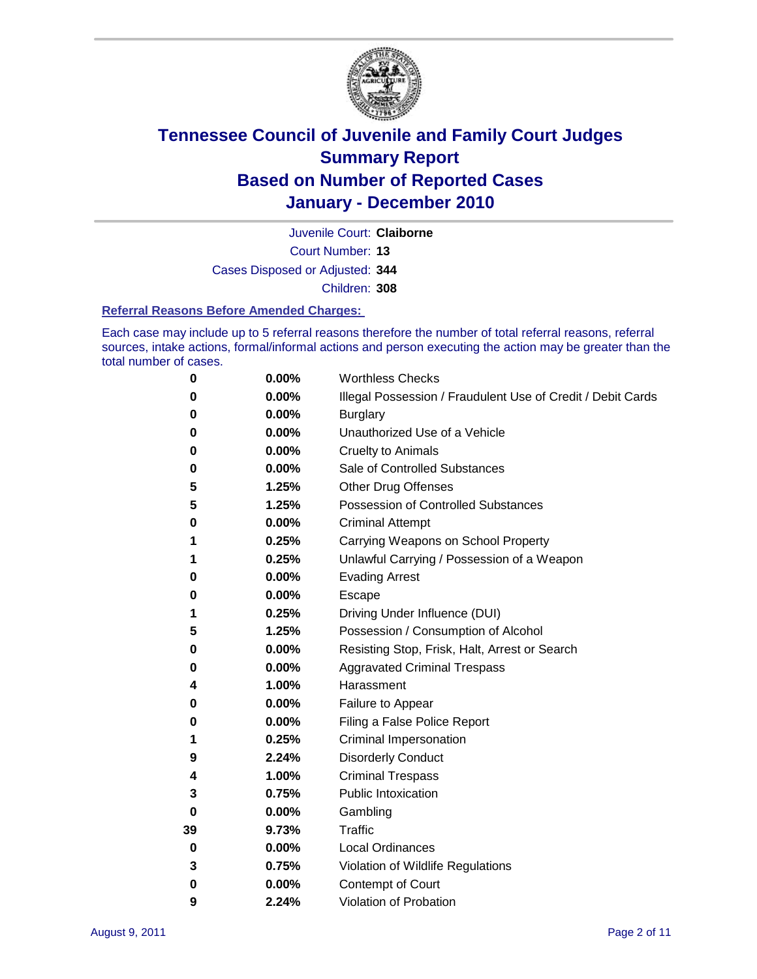

Court Number: **13** Juvenile Court: **Claiborne** Cases Disposed or Adjusted: **344**

Children: **308**

#### **Referral Reasons Before Amended Charges:**

Each case may include up to 5 referral reasons therefore the number of total referral reasons, referral sources, intake actions, formal/informal actions and person executing the action may be greater than the total number of cases.

| 0  | 0.00% | <b>Worthless Checks</b>                                     |
|----|-------|-------------------------------------------------------------|
| 0  | 0.00% | Illegal Possession / Fraudulent Use of Credit / Debit Cards |
| 0  | 0.00% | <b>Burglary</b>                                             |
| 0  | 0.00% | Unauthorized Use of a Vehicle                               |
| 0  | 0.00% | <b>Cruelty to Animals</b>                                   |
| 0  | 0.00% | Sale of Controlled Substances                               |
| 5  | 1.25% | <b>Other Drug Offenses</b>                                  |
| 5  | 1.25% | Possession of Controlled Substances                         |
| 0  | 0.00% | <b>Criminal Attempt</b>                                     |
| 1  | 0.25% | Carrying Weapons on School Property                         |
| 1  | 0.25% | Unlawful Carrying / Possession of a Weapon                  |
| 0  | 0.00% | <b>Evading Arrest</b>                                       |
| 0  | 0.00% | Escape                                                      |
| 1  | 0.25% | Driving Under Influence (DUI)                               |
| 5  | 1.25% | Possession / Consumption of Alcohol                         |
| 0  | 0.00% | Resisting Stop, Frisk, Halt, Arrest or Search               |
| 0  | 0.00% | <b>Aggravated Criminal Trespass</b>                         |
| 4  | 1.00% | Harassment                                                  |
| 0  | 0.00% | Failure to Appear                                           |
| 0  | 0.00% | Filing a False Police Report                                |
| 1  | 0.25% | Criminal Impersonation                                      |
| 9  | 2.24% | <b>Disorderly Conduct</b>                                   |
| 4  | 1.00% | <b>Criminal Trespass</b>                                    |
| 3  | 0.75% | <b>Public Intoxication</b>                                  |
| 0  | 0.00% | Gambling                                                    |
| 39 | 9.73% | <b>Traffic</b>                                              |
| 0  | 0.00% | <b>Local Ordinances</b>                                     |
| 3  | 0.75% | Violation of Wildlife Regulations                           |
| 0  | 0.00% | Contempt of Court                                           |
| 9  | 2.24% | Violation of Probation                                      |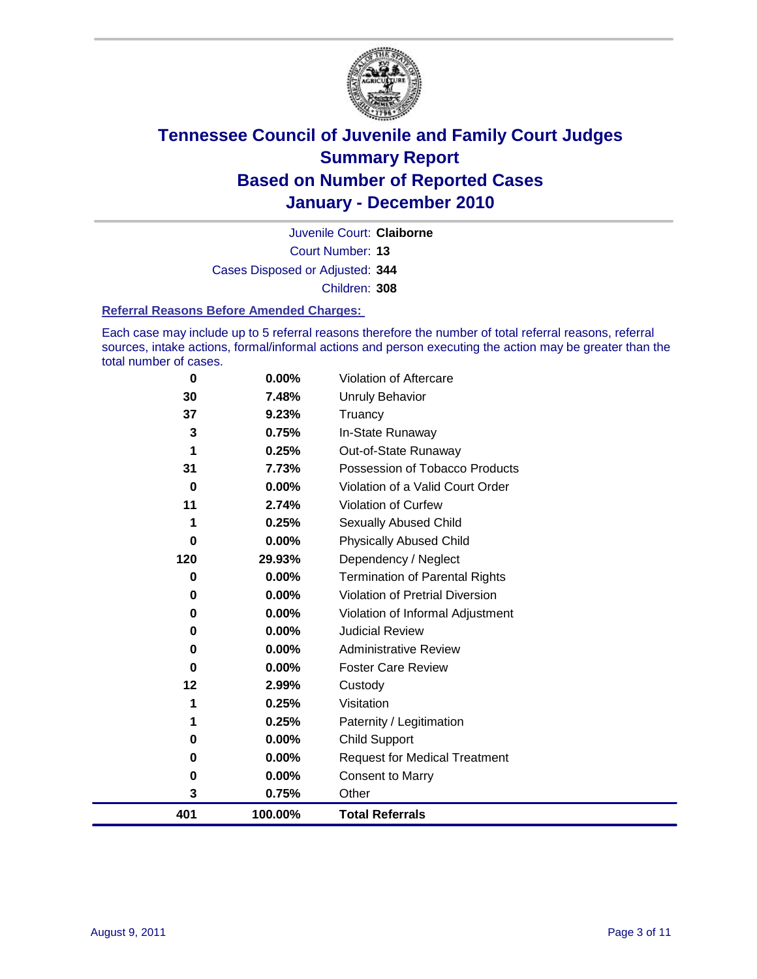

Court Number: **13** Juvenile Court: **Claiborne** Cases Disposed or Adjusted: **344** Children: **308**

#### **Referral Reasons Before Amended Charges:**

Each case may include up to 5 referral reasons therefore the number of total referral reasons, referral sources, intake actions, formal/informal actions and person executing the action may be greater than the total number of cases.

| $\bf{0}$ | 0.00%    | Violation of Aftercare                 |
|----------|----------|----------------------------------------|
| 30       | 7.48%    | <b>Unruly Behavior</b>                 |
| 37       | 9.23%    | Truancy                                |
| 3        | 0.75%    | In-State Runaway                       |
|          | 0.25%    | Out-of-State Runaway                   |
| 31       | 7.73%    | Possession of Tobacco Products         |
| 0        | $0.00\%$ | Violation of a Valid Court Order       |
| 11       | 2.74%    | Violation of Curfew                    |
|          | 0.25%    | Sexually Abused Child                  |
| 0        | 0.00%    | <b>Physically Abused Child</b>         |
| 120      | 29.93%   | Dependency / Neglect                   |
| 0        | 0.00%    | <b>Termination of Parental Rights</b>  |
| 0        | 0.00%    | <b>Violation of Pretrial Diversion</b> |
| 0        | 0.00%    | Violation of Informal Adjustment       |
| 0        | $0.00\%$ | <b>Judicial Review</b>                 |
| 0        | $0.00\%$ | <b>Administrative Review</b>           |
| 0        | 0.00%    | <b>Foster Care Review</b>              |
| 12       | 2.99%    | Custody                                |
| 1        | 0.25%    | Visitation                             |
|          | 0.25%    | Paternity / Legitimation               |
| 0        | 0.00%    | Child Support                          |
| 0        | $0.00\%$ | <b>Request for Medical Treatment</b>   |
| 0        | 0.00%    | <b>Consent to Marry</b>                |
| 3        | 0.75%    | Other                                  |
| 401      | 100.00%  | <b>Total Referrals</b>                 |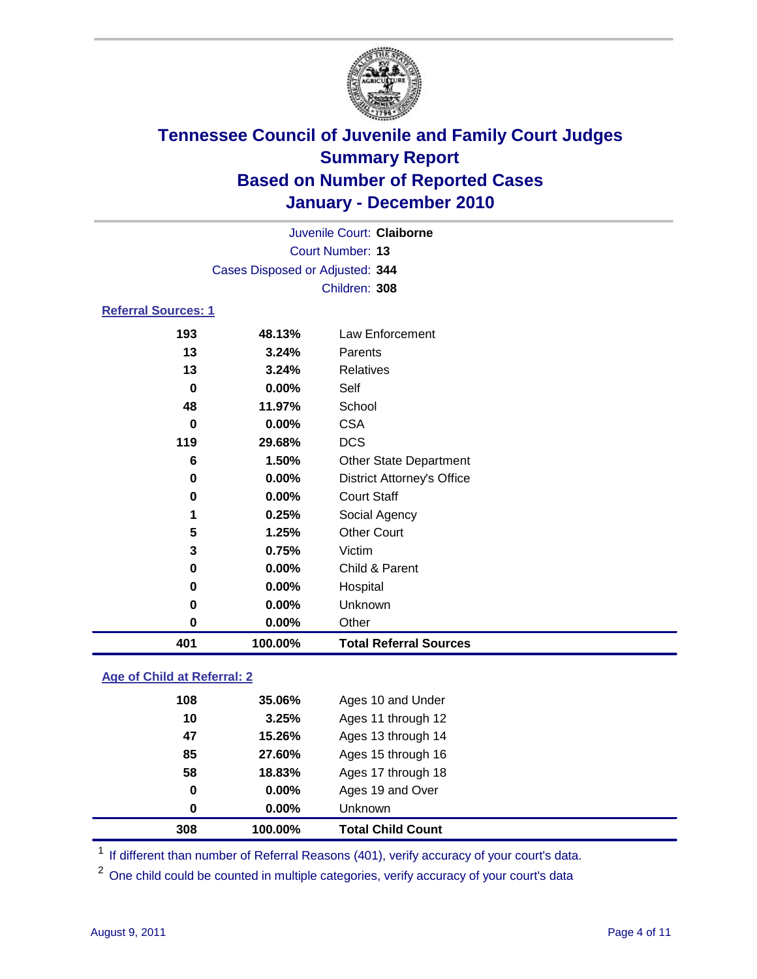

|                            |                                 | Juvenile Court: Claiborne         |  |  |  |
|----------------------------|---------------------------------|-----------------------------------|--|--|--|
|                            | <b>Court Number: 13</b>         |                                   |  |  |  |
|                            | Cases Disposed or Adjusted: 344 |                                   |  |  |  |
|                            | Children: 308                   |                                   |  |  |  |
| <b>Referral Sources: 1</b> |                                 |                                   |  |  |  |
| 193                        | 48.13%                          | Law Enforcement                   |  |  |  |
| 13                         | 3.24%                           | Parents                           |  |  |  |
| 13                         | 3.24%                           | <b>Relatives</b>                  |  |  |  |
| 0                          | $0.00\%$                        | Self                              |  |  |  |
| 48                         | 11.97%                          | School                            |  |  |  |
| 0                          | 0.00%                           | <b>CSA</b>                        |  |  |  |
| 119                        | 29.68%                          | <b>DCS</b>                        |  |  |  |
| 6                          | 1.50%                           | <b>Other State Department</b>     |  |  |  |
| 0                          | $0.00\%$                        | <b>District Attorney's Office</b> |  |  |  |
| 0                          | $0.00\%$                        | <b>Court Staff</b>                |  |  |  |
| 1                          | 0.25%                           | Social Agency                     |  |  |  |
| 5                          | 1.25%                           | <b>Other Court</b>                |  |  |  |
| 3                          | 0.75%                           | Victim                            |  |  |  |
| 0                          | $0.00\%$                        | Child & Parent                    |  |  |  |
| 0                          | $0.00\%$                        | Hospital                          |  |  |  |
| 0                          | $0.00\%$                        | Unknown                           |  |  |  |
| 0                          | 0.00%                           | Other                             |  |  |  |
| 401                        | 100.00%                         | <b>Total Referral Sources</b>     |  |  |  |

### **Age of Child at Referral: 2**

| <b>Total Child Count</b> |  |
|--------------------------|--|
| <b>Unknown</b>           |  |
| Ages 19 and Over         |  |
| Ages 17 through 18       |  |
| Ages 15 through 16       |  |
| Ages 13 through 14       |  |
| Ages 11 through 12       |  |
| Ages 10 and Under        |  |
|                          |  |

<sup>1</sup> If different than number of Referral Reasons (401), verify accuracy of your court's data.

<sup>2</sup> One child could be counted in multiple categories, verify accuracy of your court's data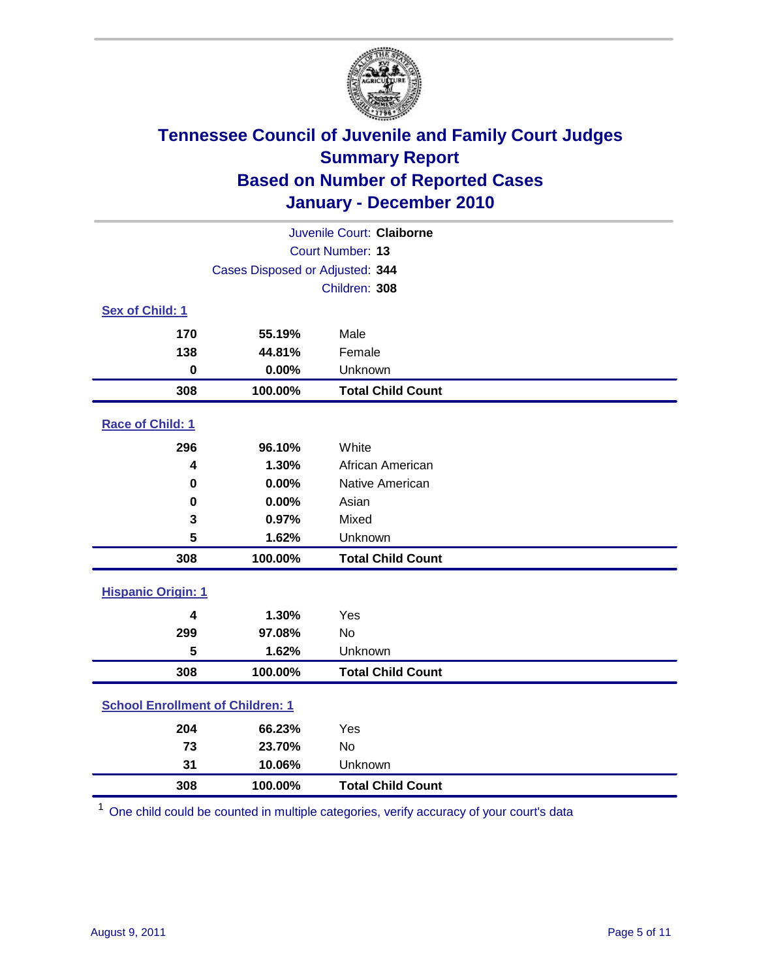

|                                         | Juvenile Court: Claiborne       |                          |  |  |  |
|-----------------------------------------|---------------------------------|--------------------------|--|--|--|
| Court Number: 13                        |                                 |                          |  |  |  |
|                                         | Cases Disposed or Adjusted: 344 |                          |  |  |  |
|                                         | Children: 308                   |                          |  |  |  |
| Sex of Child: 1                         |                                 |                          |  |  |  |
| 170                                     | 55.19%                          | Male                     |  |  |  |
| 138                                     | 44.81%                          | Female                   |  |  |  |
| $\bf{0}$                                | 0.00%                           | Unknown                  |  |  |  |
| 308                                     | 100.00%                         | <b>Total Child Count</b> |  |  |  |
| Race of Child: 1                        |                                 |                          |  |  |  |
| 296                                     | 96.10%                          | White                    |  |  |  |
| 4                                       | 1.30%                           | African American         |  |  |  |
| 0                                       | 0.00%                           | Native American          |  |  |  |
| 0                                       | 0.00%                           | Asian                    |  |  |  |
| 3                                       | 0.97%                           | Mixed                    |  |  |  |
| 5                                       | 1.62%                           | Unknown                  |  |  |  |
| 308                                     | 100.00%                         | <b>Total Child Count</b> |  |  |  |
| <b>Hispanic Origin: 1</b>               |                                 |                          |  |  |  |
| 4                                       | 1.30%                           | Yes                      |  |  |  |
| 299                                     | 97.08%                          | <b>No</b>                |  |  |  |
| 5                                       | 1.62%                           | Unknown                  |  |  |  |
| 308                                     | 100.00%                         | <b>Total Child Count</b> |  |  |  |
| <b>School Enrollment of Children: 1</b> |                                 |                          |  |  |  |
| 204                                     | 66.23%                          | Yes                      |  |  |  |
| 73                                      | 23.70%                          | No                       |  |  |  |
| 31                                      | 10.06%                          | Unknown                  |  |  |  |
| 308                                     | 100.00%                         | <b>Total Child Count</b> |  |  |  |

One child could be counted in multiple categories, verify accuracy of your court's data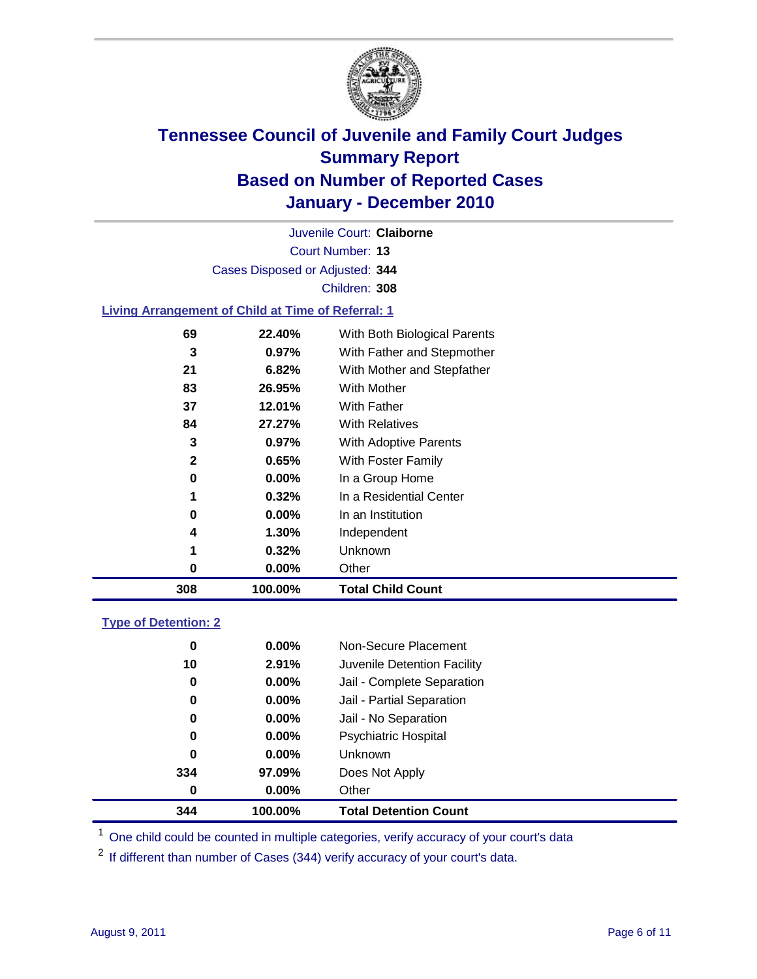

Court Number: **13** Juvenile Court: **Claiborne** Cases Disposed or Adjusted: **344** Children: **308**

#### **Living Arrangement of Child at Time of Referral: 1**

| 308 | 100.00%  | <b>Total Child Count</b>     |
|-----|----------|------------------------------|
| 0   | 0.00%    | Other                        |
| 1   | 0.32%    | Unknown                      |
| 4   | 1.30%    | Independent                  |
| 0   | $0.00\%$ | In an Institution            |
|     | 0.32%    | In a Residential Center      |
| 0   | 0.00%    | In a Group Home              |
| 2   | 0.65%    | With Foster Family           |
| 3   | $0.97\%$ | With Adoptive Parents        |
| 84  | 27.27%   | <b>With Relatives</b>        |
| 37  | 12.01%   | With Father                  |
| 83  | 26.95%   | With Mother                  |
| 21  | 6.82%    | With Mother and Stepfather   |
| 3   | $0.97\%$ | With Father and Stepmother   |
| 69  | 22.40%   | With Both Biological Parents |
|     |          |                              |

#### **Type of Detention: 2**

| 344      | 100.00%  | <b>Total Detention Count</b> |  |
|----------|----------|------------------------------|--|
| $\bf{0}$ | 0.00%    | Other                        |  |
| 334      | 97.09%   | Does Not Apply               |  |
| 0        | $0.00\%$ | Unknown                      |  |
| 0        | $0.00\%$ | Psychiatric Hospital         |  |
| 0        | 0.00%    | Jail - No Separation         |  |
| 0        | $0.00\%$ | Jail - Partial Separation    |  |
| 0        | $0.00\%$ | Jail - Complete Separation   |  |
| 10       | 2.91%    | Juvenile Detention Facility  |  |
| 0        | $0.00\%$ | Non-Secure Placement         |  |
|          |          |                              |  |

<sup>1</sup> One child could be counted in multiple categories, verify accuracy of your court's data

<sup>2</sup> If different than number of Cases (344) verify accuracy of your court's data.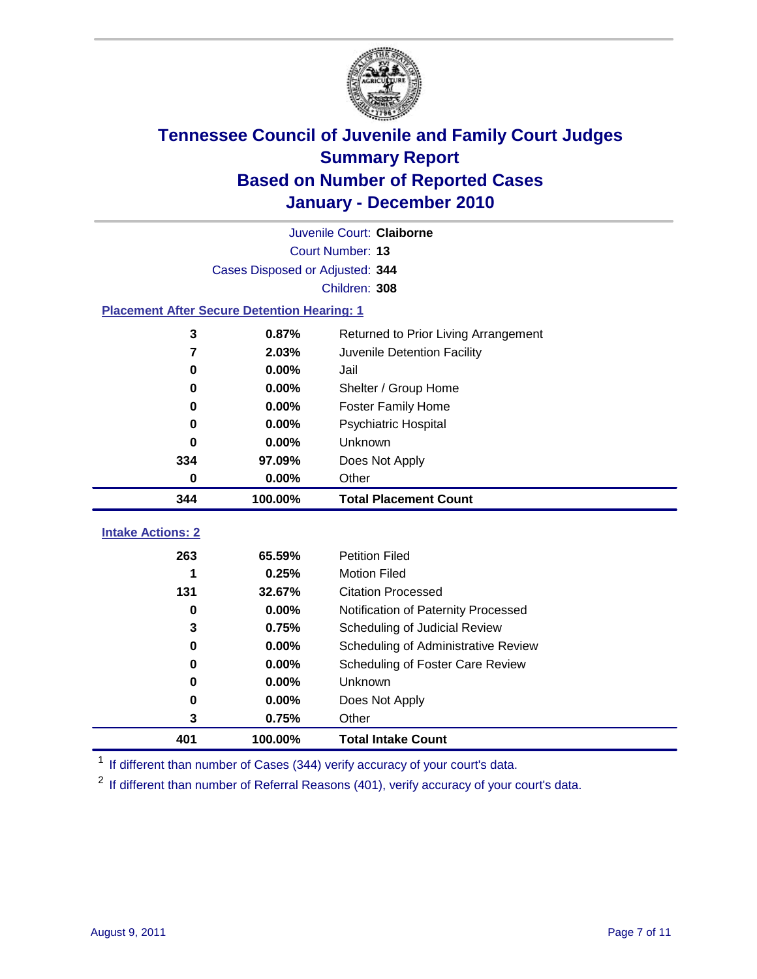

|                                                    | Juvenile Court: Claiborne       |                                      |  |  |  |  |
|----------------------------------------------------|---------------------------------|--------------------------------------|--|--|--|--|
|                                                    | Court Number: 13                |                                      |  |  |  |  |
|                                                    | Cases Disposed or Adjusted: 344 |                                      |  |  |  |  |
|                                                    | Children: 308                   |                                      |  |  |  |  |
| <b>Placement After Secure Detention Hearing: 1</b> |                                 |                                      |  |  |  |  |
| 3                                                  | 0.87%                           | Returned to Prior Living Arrangement |  |  |  |  |
| $\overline{7}$                                     | 2.03%                           | Juvenile Detention Facility          |  |  |  |  |
| $\bf{0}$                                           | 0.00%                           | Jail                                 |  |  |  |  |
| 0                                                  | 0.00%                           | Shelter / Group Home                 |  |  |  |  |
| 0                                                  | 0.00%                           | <b>Foster Family Home</b>            |  |  |  |  |
| $\bf{0}$                                           | 0.00%                           | <b>Psychiatric Hospital</b>          |  |  |  |  |
| 0                                                  | 0.00%                           | Unknown                              |  |  |  |  |
| 334                                                | 97.09%                          | Does Not Apply                       |  |  |  |  |
| $\bf{0}$                                           | 0.00%                           | Other                                |  |  |  |  |
| 344                                                | 100.00%                         | <b>Total Placement Count</b>         |  |  |  |  |
| <b>Intake Actions: 2</b>                           |                                 |                                      |  |  |  |  |
|                                                    |                                 |                                      |  |  |  |  |
| 263                                                | 65.59%                          | <b>Petition Filed</b>                |  |  |  |  |
| 1                                                  | 0.25%                           | <b>Motion Filed</b>                  |  |  |  |  |
| 131                                                | 32.67%                          | <b>Citation Processed</b>            |  |  |  |  |
| 0                                                  | 0.00%                           | Notification of Paternity Processed  |  |  |  |  |
| 3                                                  | 0.75%                           | Scheduling of Judicial Review        |  |  |  |  |
| 0                                                  | 0.00%                           | Scheduling of Administrative Review  |  |  |  |  |
| 0                                                  | 0.00%                           | Scheduling of Foster Care Review     |  |  |  |  |
| $\bf{0}$                                           | 0.00%                           | Unknown                              |  |  |  |  |
| 0                                                  | 0.00%                           | Does Not Apply                       |  |  |  |  |
| 3                                                  | 0.75%                           | Other                                |  |  |  |  |

<sup>1</sup> If different than number of Cases (344) verify accuracy of your court's data.

<sup>2</sup> If different than number of Referral Reasons (401), verify accuracy of your court's data.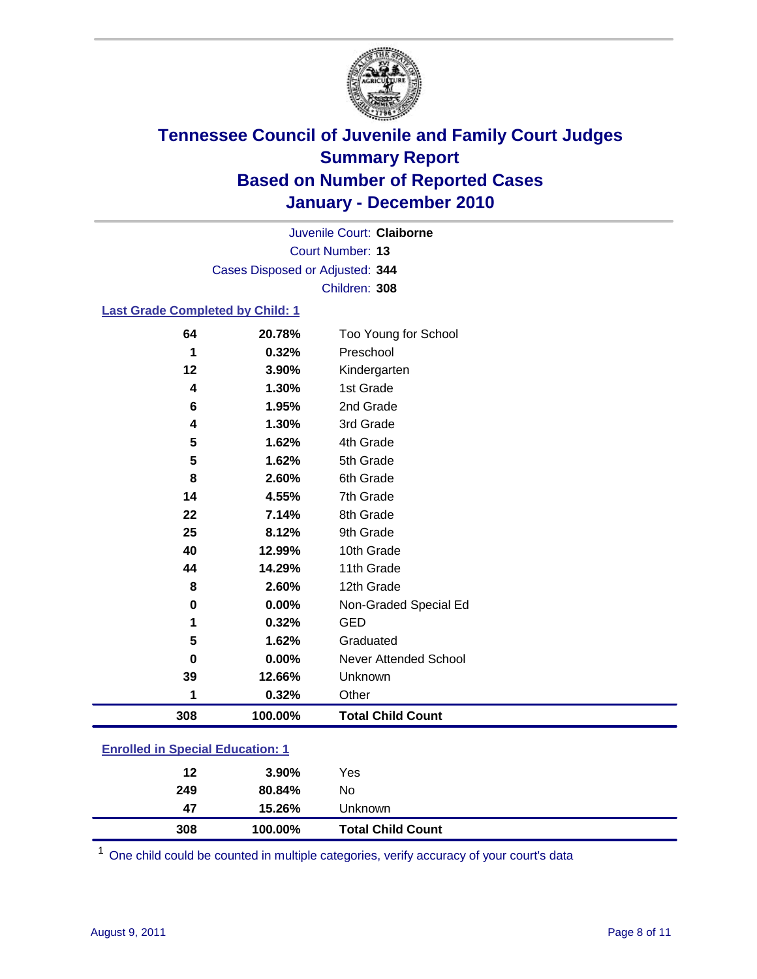

Court Number: **13** Juvenile Court: **Claiborne** Cases Disposed or Adjusted: **344** Children: **308**

### **Last Grade Completed by Child: 1**

| 64                                      | 20.78%  | Too Young for School         |  |
|-----------------------------------------|---------|------------------------------|--|
| 1                                       | 0.32%   | Preschool                    |  |
| 12                                      | 3.90%   | Kindergarten                 |  |
| 4                                       | 1.30%   | 1st Grade                    |  |
| 6                                       | 1.95%   | 2nd Grade                    |  |
| 4                                       | 1.30%   | 3rd Grade                    |  |
| 5                                       | 1.62%   | 4th Grade                    |  |
| 5                                       | 1.62%   | 5th Grade                    |  |
| 8                                       | 2.60%   | 6th Grade                    |  |
| 14                                      | 4.55%   | 7th Grade                    |  |
| 22                                      | 7.14%   | 8th Grade                    |  |
| 25                                      | 8.12%   | 9th Grade                    |  |
| 40                                      | 12.99%  | 10th Grade                   |  |
| 44                                      | 14.29%  | 11th Grade                   |  |
| 8                                       | 2.60%   | 12th Grade                   |  |
| 0                                       | 0.00%   | Non-Graded Special Ed        |  |
| 1                                       | 0.32%   | <b>GED</b>                   |  |
| 5                                       | 1.62%   | Graduated                    |  |
| 0                                       | 0.00%   | <b>Never Attended School</b> |  |
| 39                                      | 12.66%  | Unknown                      |  |
| 1                                       | 0.32%   | Other                        |  |
| 308                                     | 100.00% | <b>Total Child Count</b>     |  |
| <b>Enrolled in Special Education: 1</b> |         |                              |  |

| 308 | 100.00% | <b>Total Child Count</b> |  |  |
|-----|---------|--------------------------|--|--|
| 47  | 15.26%  | Unknown                  |  |  |
| 249 | 80.84%  | No.                      |  |  |
| 12  | 3.90%   | Yes                      |  |  |
|     |         |                          |  |  |

One child could be counted in multiple categories, verify accuracy of your court's data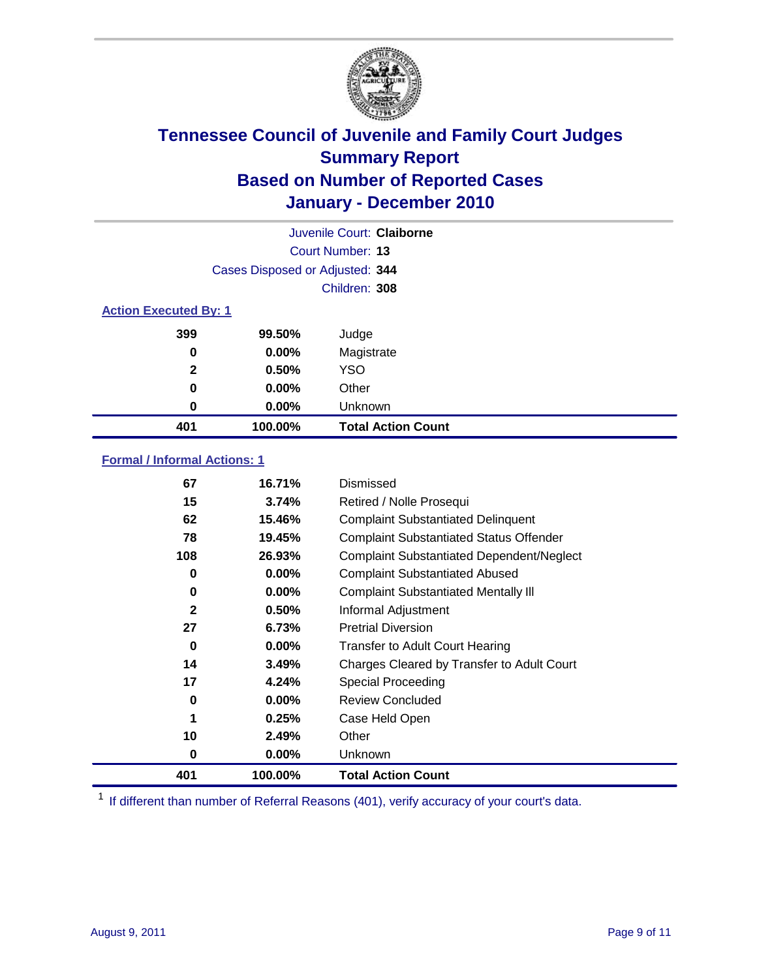

| Juvenile Court: Claiborne |                                 |                           |  |  |  |
|---------------------------|---------------------------------|---------------------------|--|--|--|
|                           | Court Number: 13                |                           |  |  |  |
|                           | Cases Disposed or Adjusted: 344 |                           |  |  |  |
|                           | Children: 308                   |                           |  |  |  |
|                           | <b>Action Executed By: 1</b>    |                           |  |  |  |
| 399                       | 99.50%                          | Judge                     |  |  |  |
| 0                         | $0.00\%$                        | Magistrate                |  |  |  |
| $\mathbf{2}$              | 0.50%                           | <b>YSO</b>                |  |  |  |
| 0                         | $0.00\%$                        | Other                     |  |  |  |
| 0                         | 0.00%                           | Unknown                   |  |  |  |
| 401                       | 100.00%                         | <b>Total Action Count</b> |  |  |  |

### **Formal / Informal Actions: 1**

| 67           | 16.71%   | Dismissed                                        |
|--------------|----------|--------------------------------------------------|
| 15           | 3.74%    | Retired / Nolle Prosequi                         |
| 62           | 15.46%   | <b>Complaint Substantiated Delinquent</b>        |
| 78           | 19.45%   | <b>Complaint Substantiated Status Offender</b>   |
| 108          | 26.93%   | <b>Complaint Substantiated Dependent/Neglect</b> |
| 0            | $0.00\%$ | <b>Complaint Substantiated Abused</b>            |
| 0            | $0.00\%$ | <b>Complaint Substantiated Mentally III</b>      |
| $\mathbf{2}$ | 0.50%    | Informal Adjustment                              |
| 27           | 6.73%    | <b>Pretrial Diversion</b>                        |
| 0            | $0.00\%$ | <b>Transfer to Adult Court Hearing</b>           |
| 14           | 3.49%    | Charges Cleared by Transfer to Adult Court       |
| 17           | 4.24%    | <b>Special Proceeding</b>                        |
| 0            | $0.00\%$ | <b>Review Concluded</b>                          |
| 1            | 0.25%    | Case Held Open                                   |
| 10           | 2.49%    | Other                                            |
| 0            | $0.00\%$ | Unknown                                          |
| 401          | 100.00%  | <b>Total Action Count</b>                        |

<sup>1</sup> If different than number of Referral Reasons (401), verify accuracy of your court's data.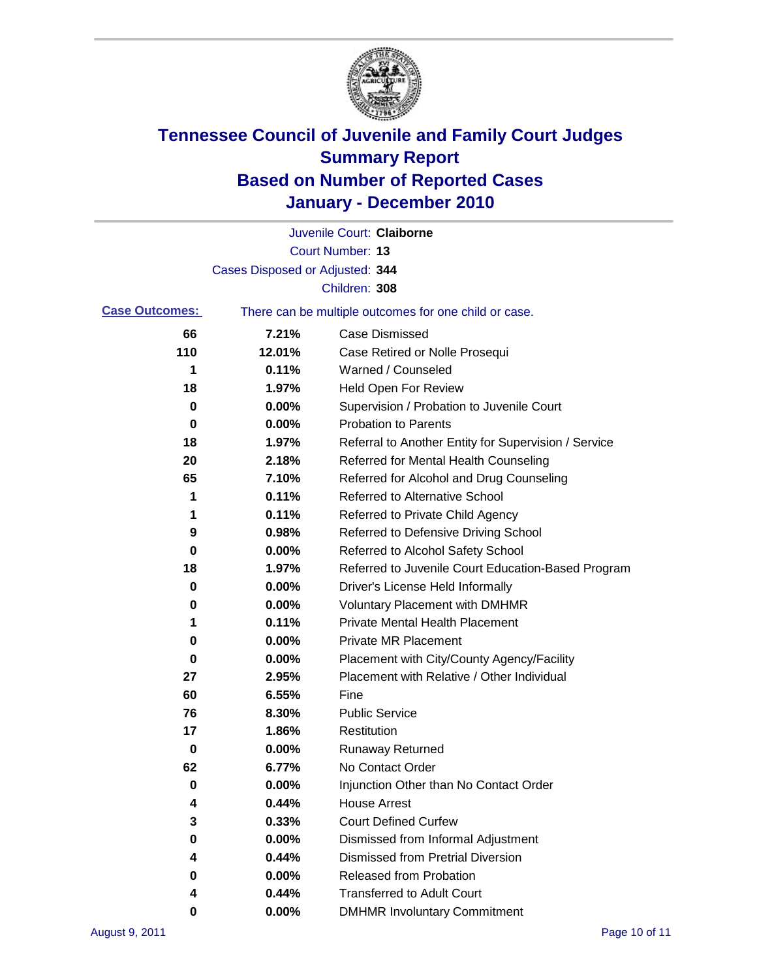

|                       |                                 | Juvenile Court: Claiborne                             |
|-----------------------|---------------------------------|-------------------------------------------------------|
|                       |                                 | <b>Court Number: 13</b>                               |
|                       | Cases Disposed or Adjusted: 344 |                                                       |
|                       |                                 | Children: 308                                         |
| <b>Case Outcomes:</b> |                                 | There can be multiple outcomes for one child or case. |
| 66                    | 7.21%                           | <b>Case Dismissed</b>                                 |
| 110                   | 12.01%                          | Case Retired or Nolle Prosequi                        |
| 1                     | 0.11%                           | Warned / Counseled                                    |
| 18                    | 1.97%                           | Held Open For Review                                  |
| 0                     | 0.00%                           | Supervision / Probation to Juvenile Court             |
| 0                     | 0.00%                           | <b>Probation to Parents</b>                           |
| 18                    | 1.97%                           | Referral to Another Entity for Supervision / Service  |
| 20                    | 2.18%                           | Referred for Mental Health Counseling                 |
| 65                    | 7.10%                           | Referred for Alcohol and Drug Counseling              |
| 1                     | 0.11%                           | <b>Referred to Alternative School</b>                 |
| 1                     | 0.11%                           | Referred to Private Child Agency                      |
| 9                     | 0.98%                           | Referred to Defensive Driving School                  |
| 0                     | 0.00%                           | Referred to Alcohol Safety School                     |
| 18                    | 1.97%                           | Referred to Juvenile Court Education-Based Program    |
| 0                     | 0.00%                           | Driver's License Held Informally                      |
| 0                     | 0.00%                           | <b>Voluntary Placement with DMHMR</b>                 |
| 1                     | 0.11%                           | Private Mental Health Placement                       |
| 0                     | 0.00%                           | <b>Private MR Placement</b>                           |
| 0                     | 0.00%                           | Placement with City/County Agency/Facility            |
| 27                    | 2.95%                           | Placement with Relative / Other Individual            |
| 60                    | 6.55%                           | Fine                                                  |
| 76                    | 8.30%                           | <b>Public Service</b>                                 |
| 17                    | 1.86%                           | Restitution                                           |
| 0                     | 0.00%                           | <b>Runaway Returned</b>                               |
| 62                    | 6.77%                           | No Contact Order                                      |
| 0                     | 0.00%                           | Injunction Other than No Contact Order                |
| 4                     | 0.44%                           | <b>House Arrest</b>                                   |
| 3                     | 0.33%                           | <b>Court Defined Curfew</b>                           |
| 0                     | 0.00%                           | Dismissed from Informal Adjustment                    |
| 4                     | 0.44%                           | <b>Dismissed from Pretrial Diversion</b>              |
| 0                     | $0.00\%$                        | <b>Released from Probation</b>                        |
| 4                     | 0.44%                           | <b>Transferred to Adult Court</b>                     |
| 0                     | $0.00\%$                        | <b>DMHMR Involuntary Commitment</b>                   |